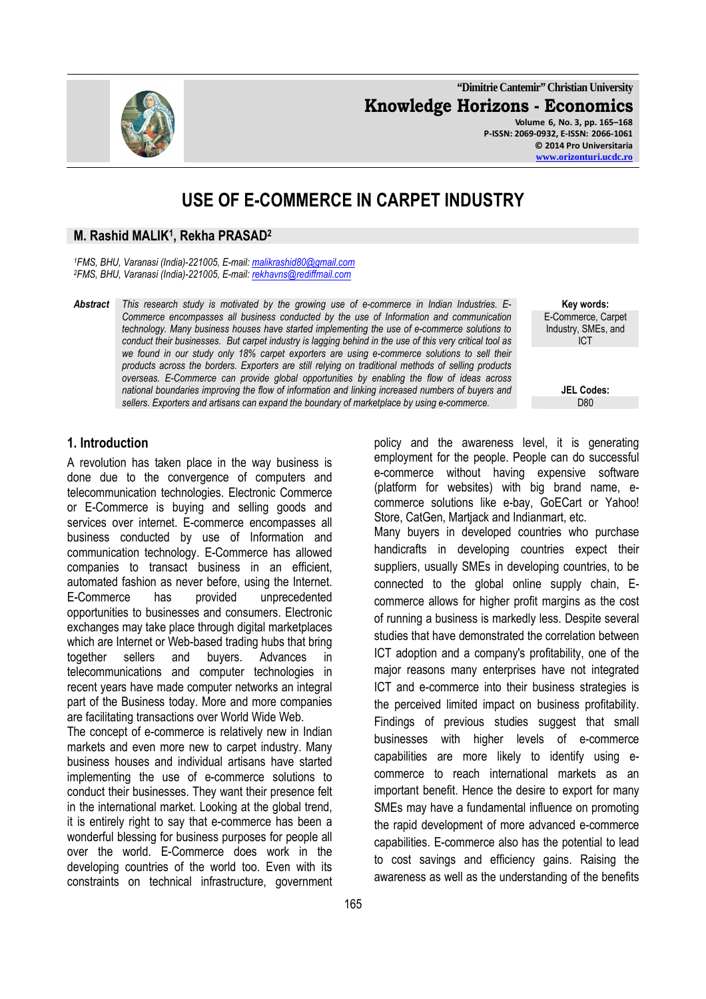**"Dimitrie Cantemir" Christian University Knowledge Horizons - Economics Volume 6, No. 3, pp. 165–168 P-ISSN: 2069-0932, E-ISSN: 2066-1061 © 2014 Pro Universitaria** 

# **USE OF E-COMMERCE IN CARPET INDUSTRY**

#### **M. Rashid MALIK<sup>1</sup> , Rekha PRASAD<sup>2</sup>**

*<sup>1</sup>FMS, BHU, Varanasi (India)-221005, E-mail: malikrashid80@gmail.com <sup>2</sup>FMS, BHU, Varanasi (India)-221005, E-mail: rekhavns@rediffmail.com* 

*Abstract This research study is motivated by the growing use of e-commerce in Indian Industries. E-Commerce encompasses all business conducted by the use of Information and communication technology. Many business houses have started implementing the use of e-commerce solutions to conduct their businesses. But carpet industry is lagging behind in the use of this very critical tool as we found in our study only 18% carpet exporters are using e-commerce solutions to sell their products across the borders. Exporters are still relying on traditional methods of selling products overseas. E-Commerce can provide global opportunities by enabling the flow of ideas across national boundaries improving the flow of information and linking increased numbers of buyers and sellers. Exporters and artisans can expand the boundary of marketplace by using e-commerce.* D80

**Key words:**  E-Commerce, Carpet Industry, SMEs, and ICT

**JEL Codes:**

### **1. Introduction**

A revolution has taken place in the way business is done due to the convergence of computers and telecommunication technologies. Electronic Commerce or E-Commerce is buying and selling goods and services over internet. E-commerce encompasses all business conducted by use of Information and communication technology. E-Commerce has allowed companies to transact business in an efficient, automated fashion as never before, using the Internet. E-Commerce has provided unprecedented opportunities to businesses and consumers. Electronic exchanges may take place through digital marketplaces which are Internet or Web-based trading hubs that bring together sellers and buyers. Advances in telecommunications and computer technologies in recent years have made computer networks an integral part of the Business today. More and more companies are facilitating transactions over World Wide Web.

The concept of e-commerce is relatively new in Indian markets and even more new to carpet industry. Many business houses and individual artisans have started implementing the use of e-commerce solutions to conduct their businesses. They want their presence felt in the international market. Looking at the global trend, it is entirely right to say that e-commerce has been a wonderful blessing for business purposes for people all over the world. E-Commerce does work in the developing countries of the world too. Even with its constraints on technical infrastructure, government

policy and the awareness level, it is generating employment for the people. People can do successful e-commerce without having expensive software (platform for websites) with big brand name, ecommerce solutions like e-bay, GoECart or Yahoo! Store, CatGen, Martjack and Indianmart, etc.

Many buyers in developed countries who purchase handicrafts in developing countries expect their suppliers, usually SMEs in developing countries, to be connected to the global online supply chain, Ecommerce allows for higher profit margins as the cost of running a business is markedly less. Despite several studies that have demonstrated the correlation between ICT adoption and a company's profitability, one of the major reasons many enterprises have not integrated ICT and e-commerce into their business strategies is the perceived limited impact on business profitability. Findings of previous studies suggest that small businesses with higher levels of e-commerce capabilities are more likely to identify using ecommerce to reach international markets as an important benefit. Hence the desire to export for many SMEs may have a fundamental influence on promoting the rapid development of more advanced e-commerce capabilities. E-commerce also has the potential to lead to cost savings and efficiency gains. Raising the awareness as well as the understanding of the benefits

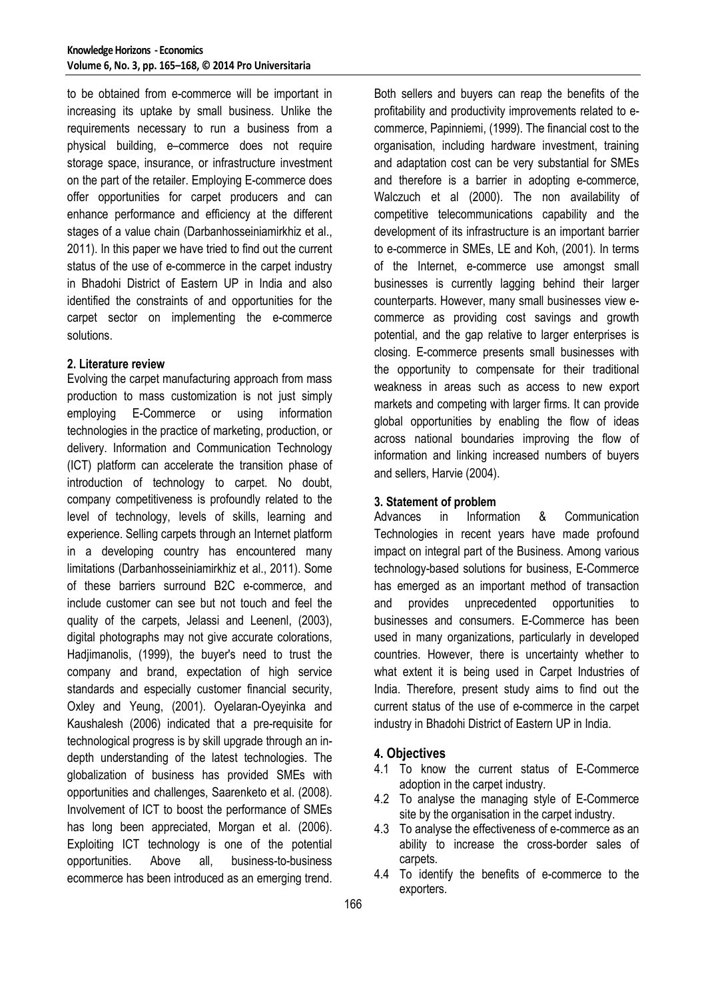to be obtained from e-commerce will be important in increasing its uptake by small business. Unlike the requirements necessary to run a business from a physical building, e–commerce does not require storage space, insurance, or infrastructure investment on the part of the retailer. Employing E-commerce does offer opportunities for carpet producers and can enhance performance and efficiency at the different stages of a value chain (Darbanhosseiniamirkhiz et al., 2011). In this paper we have tried to find out the current status of the use of e-commerce in the carpet industry in Bhadohi District of Eastern UP in India and also identified the constraints of and opportunities for the carpet sector on implementing the e-commerce solutions.

#### **2. Literature review**

Evolving the carpet manufacturing approach from mass production to mass customization is not just simply employing E-Commerce or using information technologies in the practice of marketing, production, or delivery. Information and Communication Technology (ICT) platform can accelerate the transition phase of introduction of technology to carpet. No doubt, company competitiveness is profoundly related to the level of technology, levels of skills, learning and experience. Selling carpets through an Internet platform in a developing country has encountered many limitations (Darbanhosseiniamirkhiz et al., 2011). Some of these barriers surround B2C e-commerce, and include customer can see but not touch and feel the quality of the carpets, Jelassi and Leenenl, (2003), digital photographs may not give accurate colorations, Hadjimanolis, (1999), the buyer's need to trust the company and brand, expectation of high service standards and especially customer financial security, Oxley and Yeung, (2001). Oyelaran-Oyeyinka and Kaushalesh (2006) indicated that a pre-requisite for technological progress is by skill upgrade through an indepth understanding of the latest technologies. The globalization of business has provided SMEs with opportunities and challenges, Saarenketo et al. (2008). Involvement of ICT to boost the performance of SMEs has long been appreciated, Morgan et al. (2006). Exploiting ICT technology is one of the potential opportunities. Above all, business-to-business ecommerce has been introduced as an emerging trend.

Both sellers and buyers can reap the benefits of the profitability and productivity improvements related to ecommerce, Papinniemi, (1999). The financial cost to the organisation, including hardware investment, training and adaptation cost can be very substantial for SMEs and therefore is a barrier in adopting e-commerce, Walczuch et al (2000). The non availability of competitive telecommunications capability and the development of its infrastructure is an important barrier to e-commerce in SMEs, LE and Koh, (2001). In terms of the Internet, e-commerce use amongst small businesses is currently lagging behind their larger counterparts. However, many small businesses view ecommerce as providing cost savings and growth potential, and the gap relative to larger enterprises is closing. E-commerce presents small businesses with the opportunity to compensate for their traditional weakness in areas such as access to new export markets and competing with larger firms. It can provide global opportunities by enabling the flow of ideas across national boundaries improving the flow of information and linking increased numbers of buyers and sellers, Harvie (2004).

#### **3. Statement of problem**

Advances in Information & Communication Technologies in recent years have made profound impact on integral part of the Business. Among various technology-based solutions for business, E-Commerce has emerged as an important method of transaction and provides unprecedented opportunities to businesses and consumers. E-Commerce has been used in many organizations, particularly in developed countries. However, there is uncertainty whether to what extent it is being used in Carpet Industries of India. Therefore, present study aims to find out the current status of the use of e-commerce in the carpet industry in Bhadohi District of Eastern UP in India.

### **4. Objectives**

- 4.1 To know the current status of E-Commerce adoption in the carpet industry.
- 4.2 To analyse the managing style of E-Commerce site by the organisation in the carpet industry.
- 4.3 To analyse the effectiveness of e-commerce as an ability to increase the cross-border sales of carpets.
- 4.4 To identify the benefits of e-commerce to the exporters.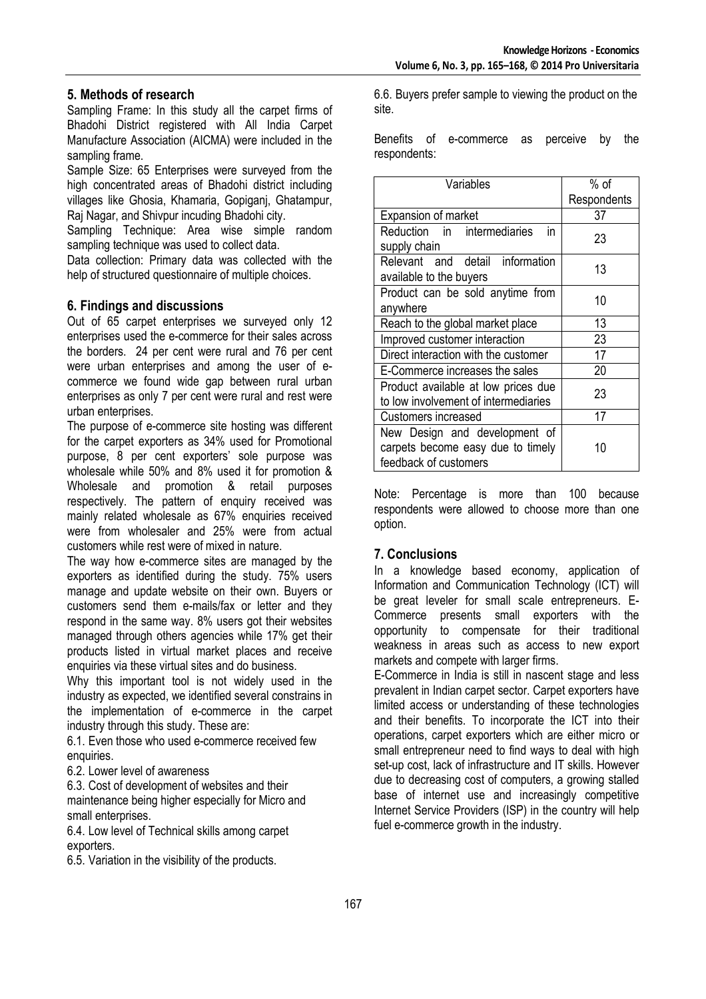## **5. Methods of research**

Sampling Frame: In this study all the carpet firms of Bhadohi District registered with All India Carpet Manufacture Association (AICMA) were included in the sampling frame.

Sample Size: 65 Enterprises were surveyed from the high concentrated areas of Bhadohi district including villages like Ghosia, Khamaria, Gopiganj, Ghatampur, Raj Nagar, and Shivpur incuding Bhadohi city.

Sampling Technique: Area wise simple random sampling technique was used to collect data.

Data collection: Primary data was collected with the help of structured questionnaire of multiple choices.

### **6. Findings and discussions**

Out of 65 carpet enterprises we surveyed only 12 enterprises used the e-commerce for their sales across the borders. 24 per cent were rural and 76 per cent were urban enterprises and among the user of ecommerce we found wide gap between rural urban enterprises as only 7 per cent were rural and rest were urban enterprises.

The purpose of e-commerce site hosting was different for the carpet exporters as 34% used for Promotional purpose, 8 per cent exporters' sole purpose was wholesale while 50% and 8% used it for promotion & Wholesale and promotion & retail purposes respectively. The pattern of enquiry received was mainly related wholesale as 67% enquiries received were from wholesaler and 25% were from actual customers while rest were of mixed in nature.

The way how e-commerce sites are managed by the exporters as identified during the study. 75% users manage and update website on their own. Buyers or customers send them e-mails/fax or letter and they respond in the same way. 8% users got their websites managed through others agencies while 17% get their products listed in virtual market places and receive enquiries via these virtual sites and do business.

Why this important tool is not widely used in the industry as expected, we identified several constrains in the implementation of e-commerce in the carpet industry through this study. These are:

6.1. Even those who used e-commerce received few enquiries.

6.2. Lower level of awareness

6.3. Cost of development of websites and their maintenance being higher especially for Micro and small enterprises.

6.4. Low level of Technical skills among carpet exporters.

6.5. Variation in the visibility of the products.

6.6. Buyers prefer sample to viewing the product on the site.

Benefits of e-commerce as perceive by the respondents:

| Variables                                                                                   | % of        |
|---------------------------------------------------------------------------------------------|-------------|
|                                                                                             | Respondents |
| <b>Expansion of market</b>                                                                  | 37          |
| Reduction in intermediaries<br>in<br>supply chain                                           | 23          |
| Relevant and detail information<br>available to the buyers                                  | 13          |
| Product can be sold anytime from<br>anywhere                                                | 10          |
| Reach to the global market place                                                            | 13          |
| Improved customer interaction                                                               | 23          |
| Direct interaction with the customer                                                        | 17          |
| E-Commerce increases the sales                                                              | 20          |
| Product available at low prices due<br>to low involvement of intermediaries                 | 23          |
| Customers increased                                                                         | 17          |
| New Design and development of<br>carpets become easy due to timely<br>feedback of customers | 10          |

Note: Percentage is more than 100 because respondents were allowed to choose more than one option.

### **7. Conclusions**

In a knowledge based economy, application of Information and Communication Technology (ICT) will be great leveler for small scale entrepreneurs. E-Commerce presents small exporters with the opportunity to compensate for their traditional weakness in areas such as access to new export markets and compete with larger firms.

E-Commerce in India is still in nascent stage and less prevalent in Indian carpet sector. Carpet exporters have limited access or understanding of these technologies and their benefits. To incorporate the ICT into their operations, carpet exporters which are either micro or small entrepreneur need to find ways to deal with high set-up cost, lack of infrastructure and IT skills. However due to decreasing cost of computers, a growing stalled base of internet use and increasingly competitive Internet Service Providers (ISP) in the country will help fuel e-commerce growth in the industry.